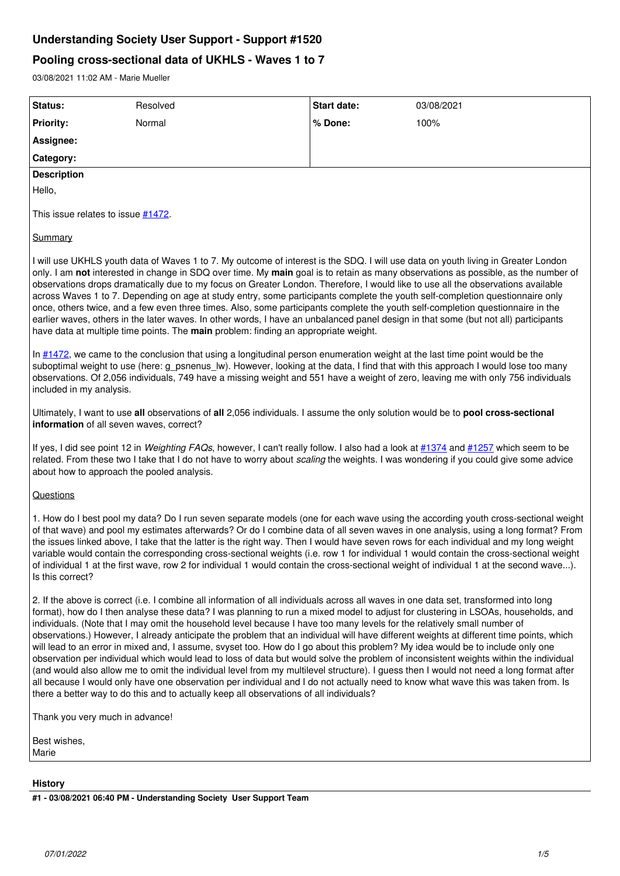# **Understanding Society User Support - Support #1520**

## **Pooling cross-sectional data of UKHLS - Waves 1 to 7**

03/08/2021 11:02 AM - Marie Mueller

| Status:                                                                                                                                                                                                                                                                                                                                                                                                                                                                                                                                                                                                                                                                                                                                                                                                                                                                                                                                                                                                                                                                                                                                                                                                | Resolved | <b>Start date:</b> | 03/08/2021 |
|--------------------------------------------------------------------------------------------------------------------------------------------------------------------------------------------------------------------------------------------------------------------------------------------------------------------------------------------------------------------------------------------------------------------------------------------------------------------------------------------------------------------------------------------------------------------------------------------------------------------------------------------------------------------------------------------------------------------------------------------------------------------------------------------------------------------------------------------------------------------------------------------------------------------------------------------------------------------------------------------------------------------------------------------------------------------------------------------------------------------------------------------------------------------------------------------------------|----------|--------------------|------------|
| <b>Priority:</b>                                                                                                                                                                                                                                                                                                                                                                                                                                                                                                                                                                                                                                                                                                                                                                                                                                                                                                                                                                                                                                                                                                                                                                                       | Normal   | % Done:            | 100%       |
| Assignee:                                                                                                                                                                                                                                                                                                                                                                                                                                                                                                                                                                                                                                                                                                                                                                                                                                                                                                                                                                                                                                                                                                                                                                                              |          |                    |            |
| Category:                                                                                                                                                                                                                                                                                                                                                                                                                                                                                                                                                                                                                                                                                                                                                                                                                                                                                                                                                                                                                                                                                                                                                                                              |          |                    |            |
| <b>Description</b>                                                                                                                                                                                                                                                                                                                                                                                                                                                                                                                                                                                                                                                                                                                                                                                                                                                                                                                                                                                                                                                                                                                                                                                     |          |                    |            |
| Hello,                                                                                                                                                                                                                                                                                                                                                                                                                                                                                                                                                                                                                                                                                                                                                                                                                                                                                                                                                                                                                                                                                                                                                                                                 |          |                    |            |
| This issue relates to issue #1472.                                                                                                                                                                                                                                                                                                                                                                                                                                                                                                                                                                                                                                                                                                                                                                                                                                                                                                                                                                                                                                                                                                                                                                     |          |                    |            |
| <b>Summary</b>                                                                                                                                                                                                                                                                                                                                                                                                                                                                                                                                                                                                                                                                                                                                                                                                                                                                                                                                                                                                                                                                                                                                                                                         |          |                    |            |
| I will use UKHLS youth data of Waves 1 to 7. My outcome of interest is the SDQ. I will use data on youth living in Greater London<br>only. I am not interested in change in SDQ over time. My main goal is to retain as many observations as possible, as the number of<br>observations drops dramatically due to my focus on Greater London. Therefore, I would like to use all the observations available<br>across Waves 1 to 7. Depending on age at study entry, some participants complete the youth self-completion questionnaire only<br>once, others twice, and a few even three times. Also, some participants complete the youth self-completion questionnaire in the<br>earlier waves, others in the later waves. In other words, I have an unbalanced panel design in that some (but not all) participants<br>have data at multiple time points. The main problem: finding an appropriate weight.                                                                                                                                                                                                                                                                                          |          |                    |            |
| In $\frac{\#1472}{\#1472}$ , we came to the conclusion that using a longitudinal person enumeration weight at the last time point would be the<br>suboptimal weight to use (here: g_psnenus_lw). However, looking at the data, I find that with this approach I would lose too many<br>observations. Of 2,056 individuals, 749 have a missing weight and 551 have a weight of zero, leaving me with only 756 individuals<br>included in my analysis.                                                                                                                                                                                                                                                                                                                                                                                                                                                                                                                                                                                                                                                                                                                                                   |          |                    |            |
| Ultimately, I want to use all observations of all 2,056 individuals. I assume the only solution would be to pool cross-sectional<br>information of all seven waves, correct?                                                                                                                                                                                                                                                                                                                                                                                                                                                                                                                                                                                                                                                                                                                                                                                                                                                                                                                                                                                                                           |          |                    |            |
| If yes, I did see point 12 in Weighting FAQs, however, I can't really follow. I also had a look at #1374 and #1257 which seem to be<br>related. From these two I take that I do not have to worry about scaling the weights. I was wondering if you could give some advice<br>about how to approach the pooled analysis.                                                                                                                                                                                                                                                                                                                                                                                                                                                                                                                                                                                                                                                                                                                                                                                                                                                                               |          |                    |            |
| Questions                                                                                                                                                                                                                                                                                                                                                                                                                                                                                                                                                                                                                                                                                                                                                                                                                                                                                                                                                                                                                                                                                                                                                                                              |          |                    |            |
| 1. How do I best pool my data? Do I run seven separate models (one for each wave using the according youth cross-sectional weight<br>of that wave) and pool my estimates afterwards? Or do I combine data of all seven waves in one analysis, using a long format? From<br>the issues linked above, I take that the latter is the right way. Then I would have seven rows for each individual and my long weight<br>variable would contain the corresponding cross-sectional weights (i.e. row 1 for individual 1 would contain the cross-sectional weight<br>of individual 1 at the first wave, row 2 for individual 1 would contain the cross-sectional weight of individual 1 at the second wave).<br>Is this correct?                                                                                                                                                                                                                                                                                                                                                                                                                                                                              |          |                    |            |
| 2. If the above is correct (i.e. I combine all information of all individuals across all waves in one data set, transformed into long<br>format), how do I then analyse these data? I was planning to run a mixed model to adjust for clustering in LSOAs, households, and<br>individuals. (Note that I may omit the household level because I have too many levels for the relatively small number of<br>observations.) However, I already anticipate the problem that an individual will have different weights at different time points, which<br>will lead to an error in mixed and, I assume, svyset too. How do I go about this problem? My idea would be to include only one<br>observation per individual which would lead to loss of data but would solve the problem of inconsistent weights within the individual<br>(and would also allow me to omit the individual level from my multilevel structure). I guess then I would not need a long format after<br>all because I would only have one observation per individual and I do not actually need to know what wave this was taken from. Is<br>there a better way to do this and to actually keep all observations of all individuals? |          |                    |            |
| Thank you very much in advance!                                                                                                                                                                                                                                                                                                                                                                                                                                                                                                                                                                                                                                                                                                                                                                                                                                                                                                                                                                                                                                                                                                                                                                        |          |                    |            |
| Best wishes,<br>Marie                                                                                                                                                                                                                                                                                                                                                                                                                                                                                                                                                                                                                                                                                                                                                                                                                                                                                                                                                                                                                                                                                                                                                                                  |          |                    |            |
| <b>History</b>                                                                                                                                                                                                                                                                                                                                                                                                                                                                                                                                                                                                                                                                                                                                                                                                                                                                                                                                                                                                                                                                                                                                                                                         |          |                    |            |

**#1 - 03/08/2021 06:40 PM - Understanding Society User Support Team**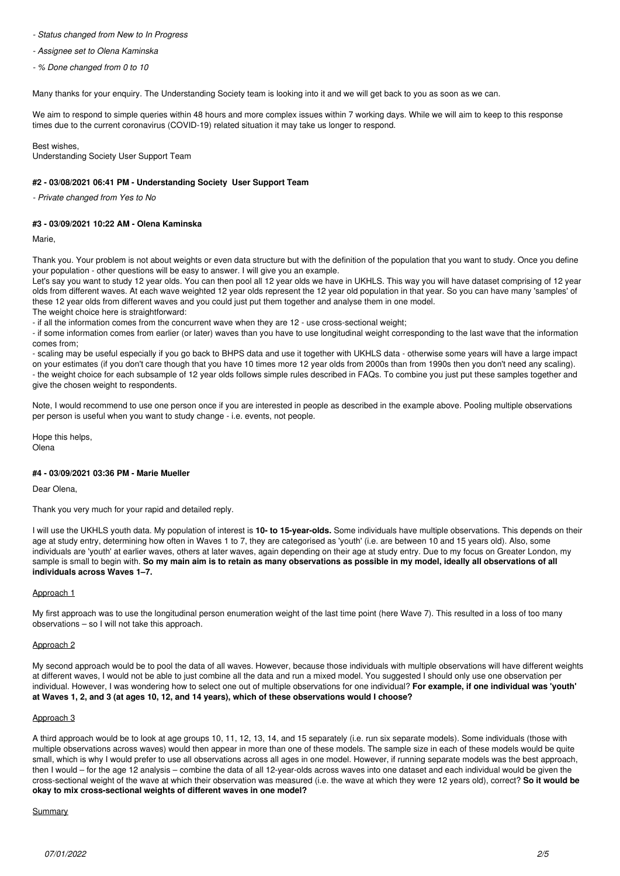## *- Status changed from New to In Progress*

*- Assignee set to Olena Kaminska*

*- % Done changed from 0 to 10*

Many thanks for your enquiry. The Understanding Society team is looking into it and we will get back to you as soon as we can.

We aim to respond to simple queries within 48 hours and more complex issues within 7 working days. While we will aim to keep to this response times due to the current coronavirus (COVID-19) related situation it may take us longer to respond.

Best wishes, Understanding Society User Support Team

## **#2 - 03/08/2021 06:41 PM - Understanding Society User Support Team**

*- Private changed from Yes to No*

## **#3 - 03/09/2021 10:22 AM - Olena Kaminska**

Marie,

Thank you. Your problem is not about weights or even data structure but with the definition of the population that you want to study. Once you define your population - other questions will be easy to answer. I will give you an example.

Let's say you want to study 12 year olds. You can then pool all 12 year olds we have in UKHLS. This way you will have dataset comprising of 12 year olds from different waves. At each wave weighted 12 year olds represent the 12 year old population in that year. So you can have many 'samples' of these 12 year olds from different waves and you could just put them together and analyse them in one model.

The weight choice here is straightforward:

- if all the information comes from the concurrent wave when they are 12 - use cross-sectional weight;

- if some information comes from earlier (or later) waves than you have to use longitudinal weight corresponding to the last wave that the information comes from;

- scaling may be useful especially if you go back to BHPS data and use it together with UKHLS data - otherwise some years will have a large impact on your estimates (if you don't care though that you have 10 times more 12 year olds from 2000s than from 1990s then you don't need any scaling). - the weight choice for each subsample of 12 year olds follows simple rules described in FAQs. To combine you just put these samples together and give the chosen weight to respondents.

Note, I would recommend to use one person once if you are interested in people as described in the example above. Pooling multiple observations per person is useful when you want to study change - i.e. events, not people.

Hope this helps, Olena

## **#4 - 03/09/2021 03:36 PM - Marie Mueller**

Dear Olena,

Thank you very much for your rapid and detailed reply.

I will use the UKHLS youth data. My population of interest is **10- to 15-year-olds.** Some individuals have multiple observations. This depends on their age at study entry, determining how often in Waves 1 to 7, they are categorised as 'youth' (i.e. are between 10 and 15 years old). Also, some individuals are 'youth' at earlier waves, others at later waves, again depending on their age at study entry. Due to my focus on Greater London, my sample is small to begin with. **So my main aim is to retain as many observations as possible in my model, ideally all observations of all individuals across Waves 1–7.**

#### Approach 1

My first approach was to use the longitudinal person enumeration weight of the last time point (here Wave 7). This resulted in a loss of too many observations – so I will not take this approach.

#### Approach 2

My second approach would be to pool the data of all waves. However, because those individuals with multiple observations will have different weights at different waves, I would not be able to just combine all the data and run a mixed model. You suggested I should only use one observation per individual. However, I was wondering how to select one out of multiple observations for one individual? **For example, if one individual was 'youth' at Waves 1, 2, and 3 (at ages 10, 12, and 14 years), which of these observations would I choose?**

#### Approach 3

A third approach would be to look at age groups 10, 11, 12, 13, 14, and 15 separately (i.e. run six separate models). Some individuals (those with multiple observations across waves) would then appear in more than one of these models. The sample size in each of these models would be quite small, which is why I would prefer to use all observations across all ages in one model. However, if running separate models was the best approach, then I would – for the age 12 analysis – combine the data of all 12-year-olds across waves into one dataset and each individual would be given the cross-sectional weight of the wave at which their observation was measured (i.e. the wave at which they were 12 years old), correct? **So it would be okay to mix cross-sectional weights of different waves in one model?**

#### Summary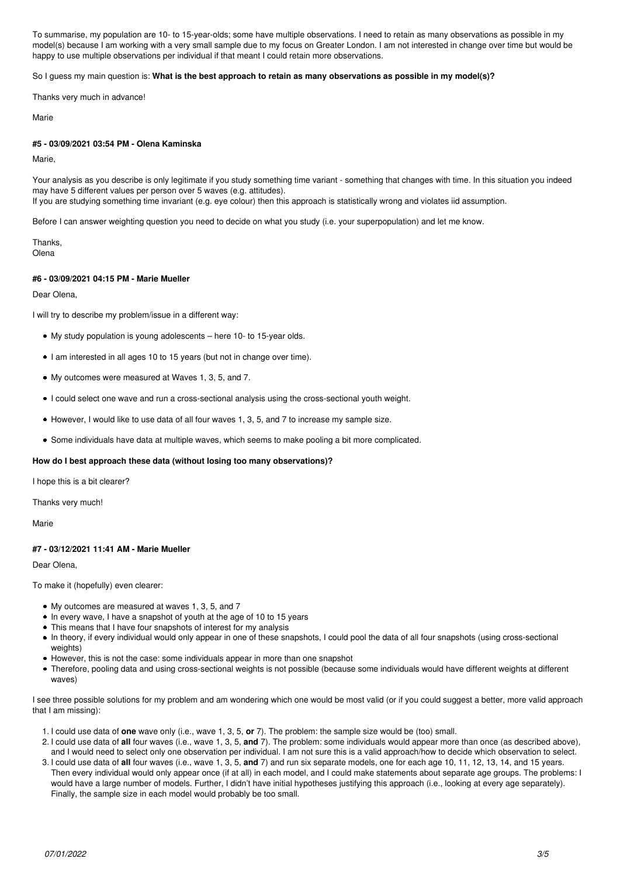To summarise, my population are 10- to 15-year-olds; some have multiple observations. I need to retain as many observations as possible in my model(s) because I am working with a very small sample due to my focus on Greater London. I am not interested in change over time but would be happy to use multiple observations per individual if that meant I could retain more observations.

So I guess my main question is: **What is the best approach to retain as many observations as possible in my model(s)?**

Thanks very much in advance!

Marie

## **#5 - 03/09/2021 03:54 PM - Olena Kaminska**

Marie,

Your analysis as you describe is only legitimate if you study something time variant - something that changes with time. In this situation you indeed may have 5 different values per person over 5 waves (e.g. attitudes). If you are studying something time invariant (e.g. eye colour) then this approach is statistically wrong and violates iid assumption.

Before I can answer weighting question you need to decide on what you study (i.e. your superpopulation) and let me know.

Thanks, Olena

## **#6 - 03/09/2021 04:15 PM - Marie Mueller**

Dear Olena,

I will try to describe my problem/issue in a different way:

- My study population is young adolescents here 10- to 15-year olds.
- I am interested in all ages 10 to 15 years (but not in change over time).
- My outcomes were measured at Waves 1, 3, 5, and 7.
- I could select one wave and run a cross-sectional analysis using the cross-sectional youth weight.
- However, I would like to use data of all four waves 1, 3, 5, and 7 to increase my sample size.
- Some individuals have data at multiple waves, which seems to make pooling a bit more complicated.

## **How do I best approach these data (without losing too many observations)?**

I hope this is a bit clearer?

Thanks very much!

Marie

## **#7 - 03/12/2021 11:41 AM - Marie Mueller**

Dear Olena,

To make it (hopefully) even clearer:

- My outcomes are measured at waves 1, 3, 5, and 7
- In every wave, I have a snapshot of youth at the age of 10 to 15 years
- This means that I have four snapshots of interest for my analysis
- In theory, if every individual would only appear in one of these snapshots, I could pool the data of all four snapshots (using cross-sectional weights)
- However, this is not the case: some individuals appear in more than one snapshot
- Therefore, pooling data and using cross-sectional weights is not possible (because some individuals would have different weights at different waves)

I see three possible solutions for my problem and am wondering which one would be most valid (or if you could suggest a better, more valid approach that I am missing):

- 1. I could use data of **one** wave only (i.e., wave 1, 3, 5, **or** 7). The problem: the sample size would be (too) small.
- 2. I could use data of **all** four waves (i.e., wave 1, 3, 5, **and** 7). The problem: some individuals would appear more than once (as described above), and I would need to select only one observation per individual. I am not sure this is a valid approach/how to decide which observation to select.
- 3. I could use data of **all** four waves (i.e., wave 1, 3, 5, **and** 7) and run six separate models, one for each age 10, 11, 12, 13, 14, and 15 years. Then every individual would only appear once (if at all) in each model, and I could make statements about separate age groups. The problems: I would have a large number of models. Further, I didn't have initial hypotheses justifying this approach (i.e., looking at every age separately). Finally, the sample size in each model would probably be too small.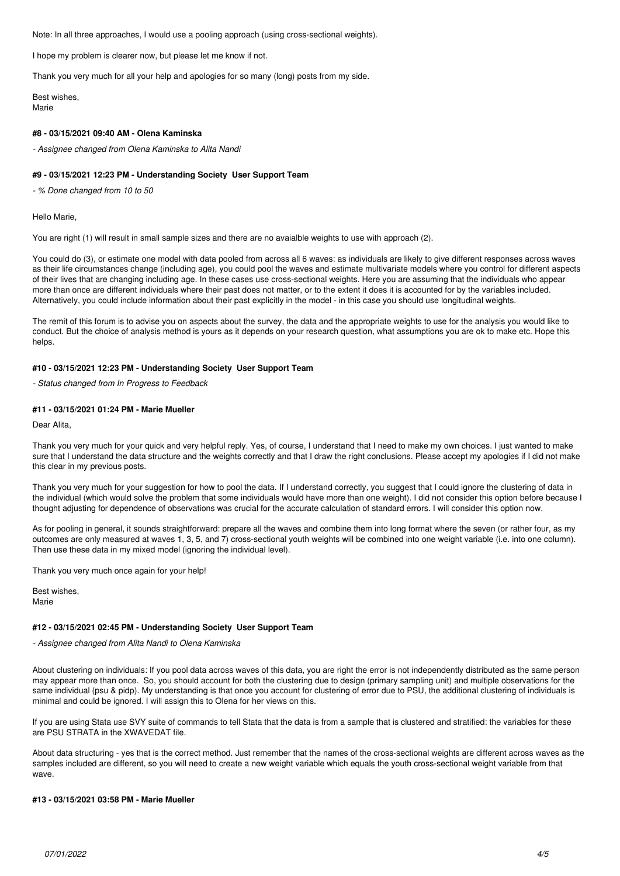Note: In all three approaches, I would use a pooling approach (using cross-sectional weights).

I hope my problem is clearer now, but please let me know if not.

Thank you very much for all your help and apologies for so many (long) posts from my side.

Best wishes, Marie

#### **#8 - 03/15/2021 09:40 AM - Olena Kaminska**

*- Assignee changed from Olena Kaminska to Alita Nandi*

#### **#9 - 03/15/2021 12:23 PM - Understanding Society User Support Team**

*- % Done changed from 10 to 50*

#### Hello Marie,

You are right (1) will result in small sample sizes and there are no avaialble weights to use with approach (2).

You could do (3), or estimate one model with data pooled from across all 6 waves: as individuals are likely to give different responses across waves as their life circumstances change (including age), you could pool the waves and estimate multivariate models where you control for different aspects of their lives that are changing including age. In these cases use cross-sectional weights. Here you are assuming that the individuals who appear more than once are different individuals where their past does not matter, or to the extent it does it is accounted for by the variables included. Alternatively, you could include information about their past explicitly in the model - in this case you should use longitudinal weights.

The remit of this forum is to advise you on aspects about the survey, the data and the appropriate weights to use for the analysis you would like to conduct. But the choice of analysis method is yours as it depends on your research question, what assumptions you are ok to make etc. Hope this helps.

#### **#10 - 03/15/2021 12:23 PM - Understanding Society User Support Team**

*- Status changed from In Progress to Feedback*

## **#11 - 03/15/2021 01:24 PM - Marie Mueller**

Dear Alita,

Thank you very much for your quick and very helpful reply. Yes, of course, I understand that I need to make my own choices. I just wanted to make sure that I understand the data structure and the weights correctly and that I draw the right conclusions. Please accept my apologies if I did not make this clear in my previous posts.

Thank you very much for your suggestion for how to pool the data. If I understand correctly, you suggest that I could ignore the clustering of data in the individual (which would solve the problem that some individuals would have more than one weight). I did not consider this option before because I thought adjusting for dependence of observations was crucial for the accurate calculation of standard errors. I will consider this option now.

As for pooling in general, it sounds straightforward: prepare all the waves and combine them into long format where the seven (or rather four, as my outcomes are only measured at waves 1, 3, 5, and 7) cross-sectional youth weights will be combined into one weight variable (i.e. into one column). Then use these data in my mixed model (ignoring the individual level).

Thank you very much once again for your help!

Best wishes, Marie

#### **#12 - 03/15/2021 02:45 PM - Understanding Society User Support Team**

*- Assignee changed from Alita Nandi to Olena Kaminska*

About clustering on individuals: If you pool data across waves of this data, you are right the error is not independently distributed as the same person may appear more than once. So, you should account for both the clustering due to design (primary sampling unit) and multiple observations for the same individual (psu & pidp). My understanding is that once you account for clustering of error due to PSU, the additional clustering of individuals is minimal and could be ignored. I will assign this to Olena for her views on this.

If you are using Stata use SVY suite of commands to tell Stata that the data is from a sample that is clustered and stratified: the variables for these are PSU STRATA in the XWAVEDAT file.

About data structuring - yes that is the correct method. Just remember that the names of the cross-sectional weights are different across waves as the samples included are different, so you will need to create a new weight variable which equals the youth cross-sectional weight variable from that wave.

#### **#13 - 03/15/2021 03:58 PM - Marie Mueller**